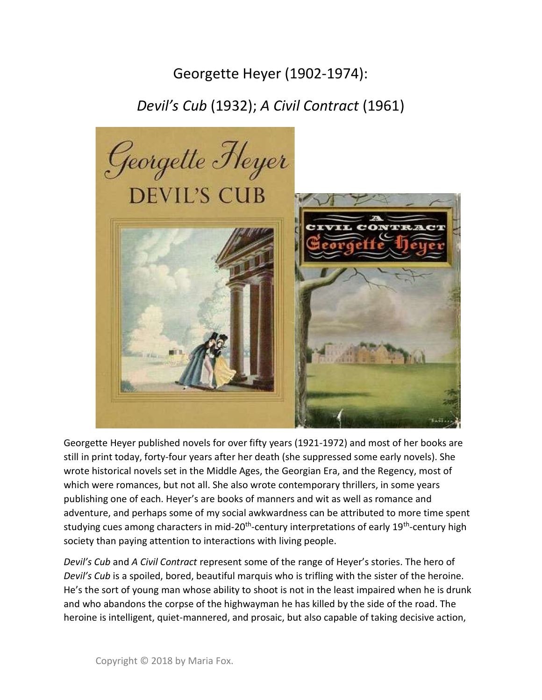## Georgette Heyer (1902-1974):

## Devil's Cub (1932); A Civil Contract (1961)



Georgette Heyer published novels for over fifty years (1921-1972) and most of her books are still in print today, forty-four years after her death (she suppressed some early novels). She wrote historical novels set in the Middle Ages, the Georgian Era, and the Regency, most of which were romances, but not all. She also wrote contemporary thrillers, in some years publishing one of each. Heyer's are books of manners and wit as well as romance and adventure, and perhaps some of my social awkwardness can be attributed to more time spent studying cues among characters in mid-20<sup>th</sup>-century interpretations of early 19<sup>th</sup>-century high society than paying attention to interactions with living people.

Devil's Cub and A Civil Contract represent some of the range of Heyer's stories. The hero of Devil's Cub is a spoiled, bored, beautiful marquis who is trifling with the sister of the heroine. He's the sort of young man whose ability to shoot is not in the least impaired when he is drunk and who abandons the corpse of the highwayman he has killed by the side of the road. The heroine is intelligent, quiet-mannered, and prosaic, but also capable of taking decisive action,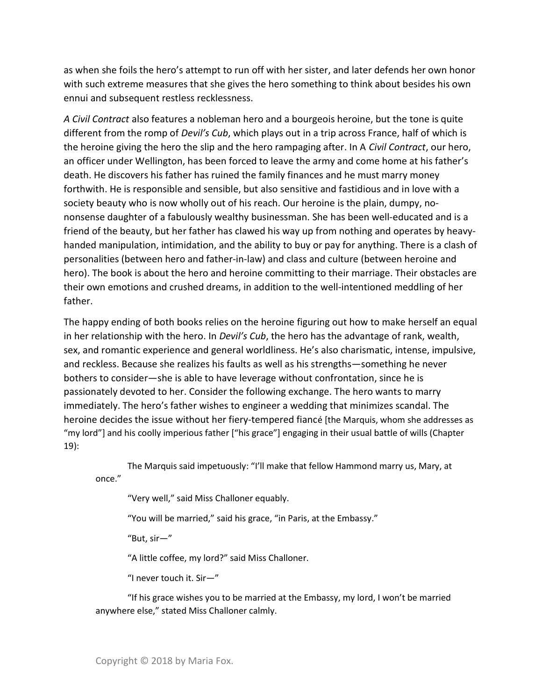as when she foils the hero's attempt to run off with her sister, and later defends her own honor with such extreme measures that she gives the hero something to think about besides his own ennui and subsequent restless recklessness.

A Civil Contract also features a nobleman hero and a bourgeois heroine, but the tone is quite different from the romp of *Devil's Cub*, which plays out in a trip across France, half of which is the heroine giving the hero the slip and the hero rampaging after. In A Civil Contract, our hero, an officer under Wellington, has been forced to leave the army and come home at his father's death. He discovers his father has ruined the family finances and he must marry money forthwith. He is responsible and sensible, but also sensitive and fastidious and in love with a society beauty who is now wholly out of his reach. Our heroine is the plain, dumpy, nononsense daughter of a fabulously wealthy businessman. She has been well-educated and is a friend of the beauty, but her father has clawed his way up from nothing and operates by heavyhanded manipulation, intimidation, and the ability to buy or pay for anything. There is a clash of personalities (between hero and father-in-law) and class and culture (between heroine and hero). The book is about the hero and heroine committing to their marriage. Their obstacles are their own emotions and crushed dreams, in addition to the well-intentioned meddling of her father.

The happy ending of both books relies on the heroine figuring out how to make herself an equal in her relationship with the hero. In *Devil's Cub*, the hero has the advantage of rank, wealth, sex, and romantic experience and general worldliness. He's also charismatic, intense, impulsive, and reckless. Because she realizes his faults as well as his strengths—something he never bothers to consider—she is able to have leverage without confrontation, since he is passionately devoted to her. Consider the following exchange. The hero wants to marry immediately. The hero's father wishes to engineer a wedding that minimizes scandal. The heroine decides the issue without her fiery-tempered fiancé [the Marquis, whom she addresses as "my lord"] and his coolly imperious father ["his grace"] engaging in their usual battle of wills (Chapter 19):

 The Marquis said impetuously: "I'll make that fellow Hammond marry us, Mary, at once."

"Very well," said Miss Challoner equably.

"You will be married," said his grace, "in Paris, at the Embassy."

"But, sir—"

"A little coffee, my lord?" said Miss Challoner.

"I never touch it. Sir—"

 "If his grace wishes you to be married at the Embassy, my lord, I won't be married anywhere else," stated Miss Challoner calmly.